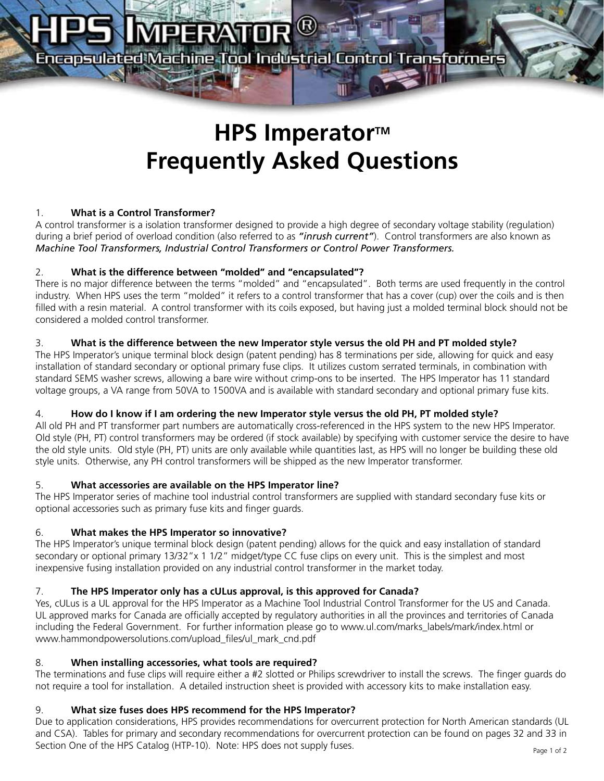## **MPERATOR**

Encapsulated Machine Tool Industrial Control Transformers

### **HPS Imperator™ Frequently Asked Questions**

### 1. **What is a Control Transformer?**

A control transformer is a isolation transformer designed to provide a high degree of secondary voltage stability (regulation) during a brief period of overload condition (also referred to as *"inrush current"*). Control transformers are also known as *Machine Tool Transformers, Industrial Control Transformers or Control Power Transformers.*

### 2. **What is the difference between "molded" and "encapsulated"?**

There is no major difference between the terms "molded" and "encapsulated". Both terms are used frequently in the control industry. When HPS uses the term "molded" it refers to a control transformer that has a cover (cup) over the coils and is then filled with a resin material. A control transformer with its coils exposed, but having just a molded terminal block should not be considered a molded control transformer.

### 3. **What is the difference between the new Imperator style versus the old PH and PT molded style?**

The HPS Imperator's unique terminal block design (patent pending) has 8 terminations per side, allowing for quick and easy installation of standard secondary or optional primary fuse clips. It utilizes custom serrated terminals, in combination with standard SEMS washer screws, allowing a bare wire without crimp-ons to be inserted. The HPS Imperator has 11 standard voltage groups, a VA range from 50VA to 1500VA and is available with standard secondary and optional primary fuse kits.

### 4. **How do I know if I am ordering the new Imperator style versus the old PH, PT molded style?**

All old PH and PT transformer part numbers are automatically cross-referenced in the HPS system to the new HPS Imperator. Old style (PH, PT) control transformers may be ordered (if stock available) by specifying with customer service the desire to have the old style units. Old style (PH, PT) units are only available while quantities last, as HPS will no longer be building these old style units. Otherwise, any PH control transformers will be shipped as the new Imperator transformer.

### 5. **What accessories are available on the HPS Imperator line?**

The HPS Imperator series of machine tool industrial control transformers are supplied with standard secondary fuse kits or optional accessories such as primary fuse kits and finger guards.

### 6. **What makes the HPS Imperator so innovative?**

The HPS Imperator's unique terminal block design (patent pending) allows for the quick and easy installation of standard secondary or optional primary 13/32"x 1 1/2" midget/type CC fuse clips on every unit. This is the simplest and most inexpensive fusing installation provided on any industrial control transformer in the market today.

### 7. **The HPS Imperator only has a cULus approval, is this approved for Canada?**

Yes, cULus is a UL approval for the HPS Imperator as a Machine Tool Industrial Control Transformer for the US and Canada. UL approved marks for Canada are officially accepted by regulatory authorities in all the provinces and territories of Canada including the Federal Government. For further information please go to www.ul.com/marks\_labels/mark/index.html or www.hammondpowersolutions.com/upload\_files/ul\_mark\_cnd.pdf

### 8. **When installing accessories, what tools are required?**

The terminations and fuse clips will require either a #2 slotted or Philips screwdriver to install the screws. The finger guards do not require a tool for installation. A detailed instruction sheet is provided with accessory kits to make installation easy.

### 9. **What size fuses does HPS recommend for the HPS Imperator?**

Due to application considerations, HPS provides recommendations for overcurrent protection for North American standards (UL and CSA). Tables for primary and secondary recommendations for overcurrent protection can be found on pages 32 and 33 in Section One of the HPS Catalog (HTP-10). Note: HPS does not supply fuses. Page 1 of 2